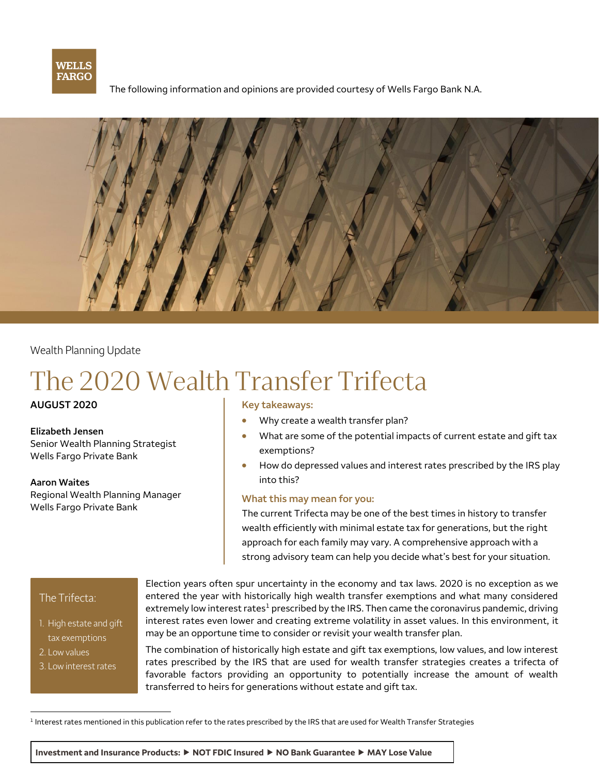

The following information and opinions are provided courtesy of Wells Fargo Bank N.A.



Wealth Planning Update

# The 2020 Wealth Transfer Trifecta

Senior Wealth Planning Strategist<br>Wells Fargo Private Bank

**Aaron Waites**  into this? Regional Wealth Planning Manager **What this may mean for you:**<br>Wells Fargo Private Bank

### AUGUST 2020 **Key takeaways: Key takeaways:**

- Why create a wealth transfer plan?
- **Elizabeth Jensen Elizabeth Jensen Number 2016 Mat are some of the potential impacts of current estate and gift tax** 
	- How do depressed values and interest rates prescribed by the IRS play

The current Trifecta may be one of the best times in history to transfer wealth efficiently with minimal estate tax for generations, but the right approach for each family may vary. A comprehensive approach with a strong advisory team can help you decide what's best for your situation.

### The Trifecta:

- 1. High estate and gift tax exemptions
- 2. Low values
- 3. Low interest rates

Election years often spur uncertainty in the economy and tax laws. 2020 is no exception as we entered the year with historically high wealth transfer exemptions and what many considered extremely low interest rates<sup>1</sup> prescribed by the IRS. Then came the coronavirus pandemic, driving interest rates even lower and creating extreme volatility in asset values. In this environment, it may be an opportune time to consider or revisit your wealth transfer plan.

The combination of historically high estate and gift tax exemptions, low values, and low interest rates prescribed by the IRS that are used for wealth transfer strategies creates a trifecta of favorable factors providing an opportunity to potentially increase the amount of wealth transferred to heirs for generations without estate and gift tax.

<sup>1</sup> Interest rates mentioned in this publication refer to the rates prescribed by the IRS that are used for Wealth Transfer Strategies

**Investment and Insurance Products: NOT FDIC Insured NO Bank Guarantee MAY Lose Value**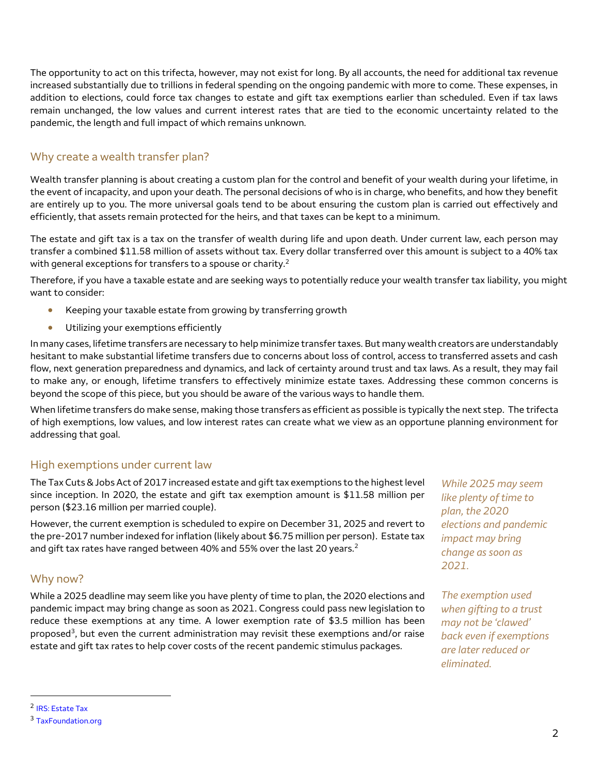The opportunity to act on this trifecta, however, may not exist for long. By all accounts, the need for additional tax revenue increased substantially due to trillions in federal spending on the ongoing pandemic with more to come. These expenses, in addition to elections, could force tax changes to estate and gift tax exemptions earlier than scheduled. Even if tax laws remain unchanged, the low values and current interest rates that are tied to the economic uncertainty related to the pandemic, the length and full impact of which remains unknown.

# Why create a wealth transfer plan?

Wealth transfer planning is about creating a custom plan for the control and benefit of your wealth during your lifetime, in the event of incapacity, and upon your death. The personal decisions of who is in charge, who benefits, and how they benefit are entirely up to you. The more universal goals tend to be about ensuring the custom plan is carried out effectively and efficiently, that assets remain protected for the heirs, and that taxes can be kept to a minimum.

The estate and gift tax is a tax on the transfer of wealth during life and upon death. Under current law, each person may transfer a combined \$11.58 million of assets without tax. Every dollar transferred over this amount is subject to a 40% tax with general exceptions for transfers to a spouse or charity.<sup>2</sup>

Therefore, if you have a taxable estate and are seeking ways to potentially reduce your wealth transfer tax liability, you might want to consider:

- Keeping your taxable estate from growing by transferring growth
- Utilizing your exemptions efficiently

In many cases, lifetime transfers are necessary to help minimize transfer taxes. But many wealth creators are understandably hesitant to make substantial lifetime transfers due to concerns about loss of control, access to transferred assets and cash flow, next generation preparedness and dynamics, and lack of certainty around trust and tax laws. As a result, they may fail to make any, or enough, lifetime transfers to effectively minimize estate taxes. Addressing these common concerns is beyond the scope of this piece, but you should be aware of the various ways to handle them.

When lifetime transfers do make sense, making those transfers as efficient as possible is typically the next step. The trifecta of high exemptions, low values, and low interest rates can create what we view as an opportune planning environment for addressing that goal.

# High exemptions under current law

The Tax Cuts & Jobs Act of 2017 increased estate and gift tax exemptions to the highest level since inception. In 2020, the estate and gift tax exemption amount is \$11.58 million per person (\$23.16 million per married couple).

However, the current exemption is scheduled to expire on December 31, 2025 and revert to the pre-2017 number indexed for inflation (likely about \$6.75 million per person). Estate tax and gift tax rates have ranged between 40% and 55% over the last 20 years.<sup>2</sup>

# Why now?

While a 2025 deadline may seem like you have plenty of time to plan, the 2020 elections and pandemic impact may bring change as soon as 2021. Congress could pass new legislation to reduce these exemptions at any time. A lower exemption rate of \$3.5 million has been proposed<sup>3</sup>, but even the current administration may revisit these exemptions and/or raise estate and gift tax rates to help cover costs of the recent pandemic stimulus packages.

*While 2025 may seem like plenty of time to plan, the 2020 elections and pandemic impact may bring change as soon as 2021.*

*The exemption used when gifting to a trust may not be 'clawed' back even if exemptions are later reduced or eliminated.*

 $\overline{\phantom{a}}$ 

<sup>&</sup>lt;sup>2</sup> IRS: Estate Tax

<sup>3</sup> [TaxFoundation.org](http://taxfoundation.org/2020-tax-plans/)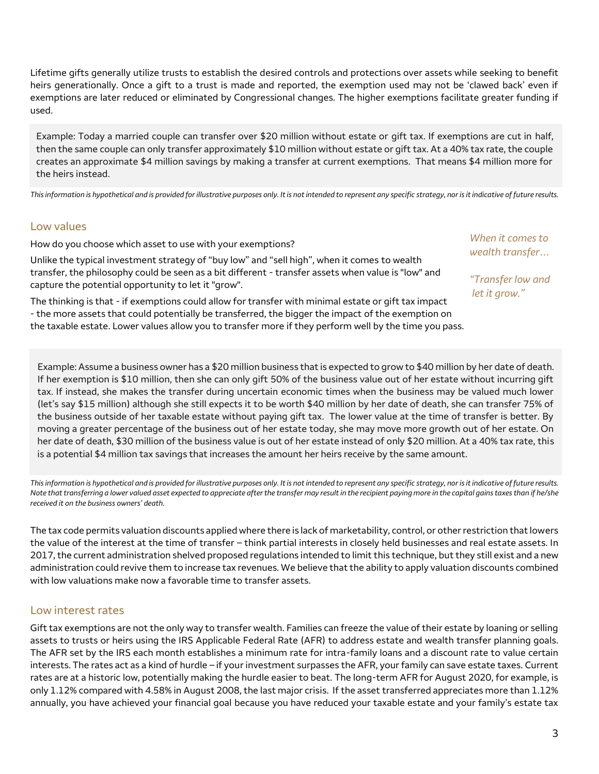Lifetime gifts generally utilize trusts to establish the desired controls and protections over assets while seeking to benefit heirs generationally. Once a gift to a trust is made and reported, the exemption used may not be 'clawed back' even if exemptions are later reduced or eliminated by Congressional changes. The higher exemptions facilitate greater funding if used.

Example: Today a married couple can transfer over \$20 million without estate or gift tax. If exemptions are cut in half, then the same couple can only transfer approximately \$10 million without estate or gift tax. At a 40% tax rate, the couple creates an approximate \$4 million savings by making a transfer at current exemptions. That means \$4 million more for the heirs instead.

*This information is hypothetical and is provided for illustrative purposes only. It is not intended to represent any specific strategy, nor is it indicative of future results.* 

## Low values

How do you choose which asset to use with your exemptions?

Unlike the typical investment strategy of "buy low" and "sell high", when it comes to wealth transfer, the philosophy could be seen as a bit different - transfer assets when value is "low" and capture the potential opportunity to let it "grow".

The thinking is that - if exemptions could allow for transfer with minimal estate or gift tax impact - the more assets that could potentially be transferred, the bigger the impact of the exemption on the taxable estate. Lower values allow you to transfer more if they perform well by the time you pass.

*When it comes to wealth transfer…*

*"Transfer low and let it grow."*

Example: Assume a business owner has a \$20 million business that is expected to grow to \$40 million by her date of death. If her exemption is \$10 million, then she can only gift 50% of the business value out of her estate without incurring gift tax. If instead, she makes the transfer during uncertain economic times when the business may be valued much lower (let's say \$15 million) although she still expects it to be worth \$40 million by her date of death, she can transfer 75% of the business outside of her taxable estate without paying gift tax. The lower value at the time of transfer is better. By moving a greater percentage of the business out of her estate today, she may move more growth out of her estate. On her date of death, \$30 million of the business value is out of her estate instead of only \$20 million. At a 40% tax rate, this is a potential \$4 million tax savings that increases the amount her heirs receive by the same amount.

*This information is hypothetical and is provided for illustrative purposes only. It is not intended to represent any specific strategy, nor is it indicative of future results. Note that transferring a lower valued asset expected to appreciate after the transfer may result in the recipient paying more in the capital gains taxes than if he/she received it on the business owners' death.* 

The tax code permits valuation discounts applied where there is lack of marketability, control, or other restriction that lowers the value of the interest at the time of transfer – think partial interests in closely held businesses and real estate assets. In 2017, the current administration shelved proposed regulations intended to limit this technique, but they still exist and a new administration could revive them to increase tax revenues. We believe that the ability to apply valuation discounts combined with low valuations make now a favorable time to transfer assets.

## Low interest rates

Gift tax exemptions are not the only way to transfer wealth. Families can freeze the value of their estate by loaning or selling assets to trusts or heirs using the IRS Applicable Federal Rate (AFR) to address estate and wealth transfer planning goals. The AFR set by the IRS each month establishes a minimum rate for intra-family loans and a discount rate to value certain interests. The rates act as a kind of hurdle – if your investment surpasses the AFR, your family can save estate taxes. Current rates are at a historic low, potentially making the hurdle easier to beat. The long-term AFR for August 2020, for example, is only 1.12% compared with 4.58% in August 2008, the last major crisis. If the asset transferred appreciates more than 1.12% annually, you have achieved your financial goal because you have reduced your taxable estate and your family's estate tax